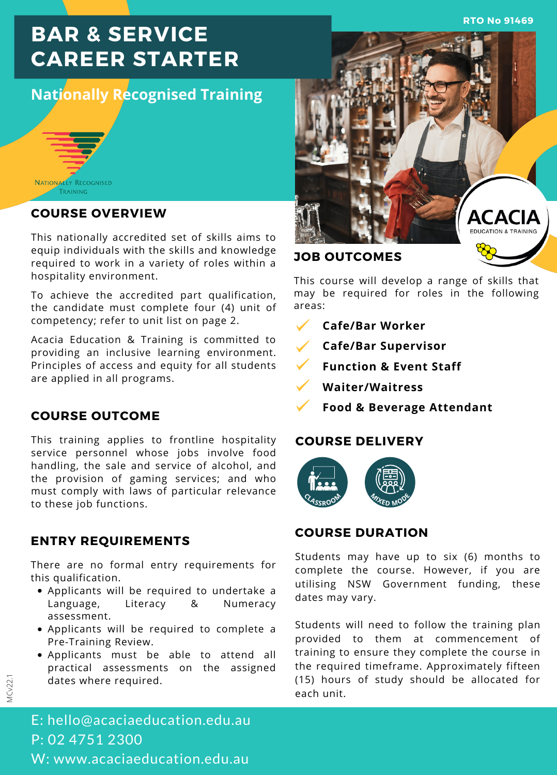**RTO No 91469**

# **BAR & SERVICE CAREER STARTER**

## **Nationally Recognised Training**



#### **COURSE OVERVIEW**

This nationally accredited set of skills aims to equip individuals with the skills and knowledge required to work in a variety of roles within a hospitality environment.

To achieve the accredited part qualification, the candidate must complete four (4) unit of competency; refer to unit list on page 2.

Acacia Education & Training is committed to providing an inclusive learning environment. Principles of access and equity for all students are applied in all programs.

#### **COURSE OUTCOME**

This training applies to frontline hospitality service personnel whose jobs involve food handling, the sale and service of alcohol, and the provision of gaming services; and who must comply with laws of particular relevance to these job functions.

## **ENTRY REQUIREMENTS**

There are no formal entry requirements for this qualification.

- Applicants will be required to undertake a Language, Literacy & Numeracy assessment.
- Applicants will be required to complete a Pre-Training Review.
- Applicants must be able to attend all practical assessments on the assigned dates where required.



This course will develop a range of skills that may be required for roles in the following areas:

- **Cafe/Bar Worker**
- **Cafe/Bar Supervisor**
- **Function & Event Staff**
- **Waiter/Waitress**
	- **Food & Beverage Attendant**

#### **COURSE DELIVERY**



### **COURSE DURATION**

Students may have up to six (6) months to complete the course. However, if you are utilising NSW Government funding, these dates may vary.

Students will need to follow the training plan provided to them at commencement of training to ensure they complete the course in the required timeframe. Approximately fifteen (15) hours of study should be allocated for each unit.

E: hello@acaciaeducation.edu.au P: 02 4751 2300 W: www.acaciaeducation.edu.au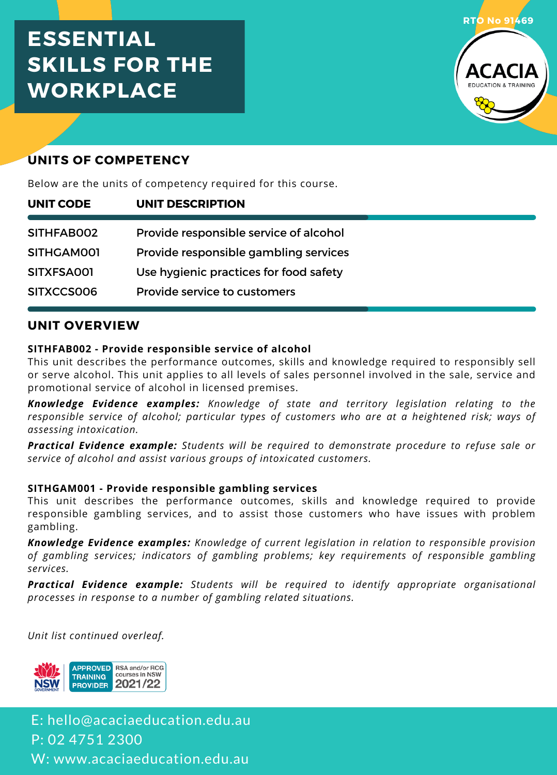# **ESSENTIAL SKILLS FOR THE WORKPLACE**



## **UNITS OF COMPETENCY**

Below are the units of competency required for this course.

| UNIT CODE  | <b>UNIT DESCRIPTION</b>                |  |
|------------|----------------------------------------|--|
| SITHFAB002 | Provide responsible service of alcohol |  |
| SITHGAM001 | Provide responsible gambling services  |  |
| SITXFSA001 | Use hygienic practices for food safety |  |
| SITXCCS006 | Provide service to customers           |  |

## **UNIT OVERVIEW**

#### **SITHFAB002 - Provide responsible service of alcohol**

This unit describes the performance outcomes, skills and knowledge required to responsibly sell or serve alcohol. This unit applies to all levels of sales personnel involved in the sale, service and promotional service of alcohol in licensed premises.

*Knowledge Evidence examples: Knowledge of state and territory legislation relating to the responsible service of alcohol; particular types of customers who are at a heightened risk; ways of assessing intoxication.*

*Practical Evidence example: Students will be required to demonstrate procedure to refuse sale or service of alcohol and assist various groups of intoxicated customers.*

#### **SITHGAM001 - Provide responsible gambling services**

This unit describes the performance outcomes, skills and knowledge required to provide responsible gambling services, and to assist those customers who have issues with problem gambling.

*Knowledge Evidence examples: Knowledge of current legislation in relation to responsible provision of gambling services; indicators of gambling problems; key requirements of responsible gambling services.*

*Practical Evidence example: Students will be required to identify appropriate organisational processes in response to a number of gambling related situations.*

*Unit list continued overleaf.*



E: hello@acaciaeducation.edu.au P: 02 4751 2300 W: www.acaciaeducation.edu.au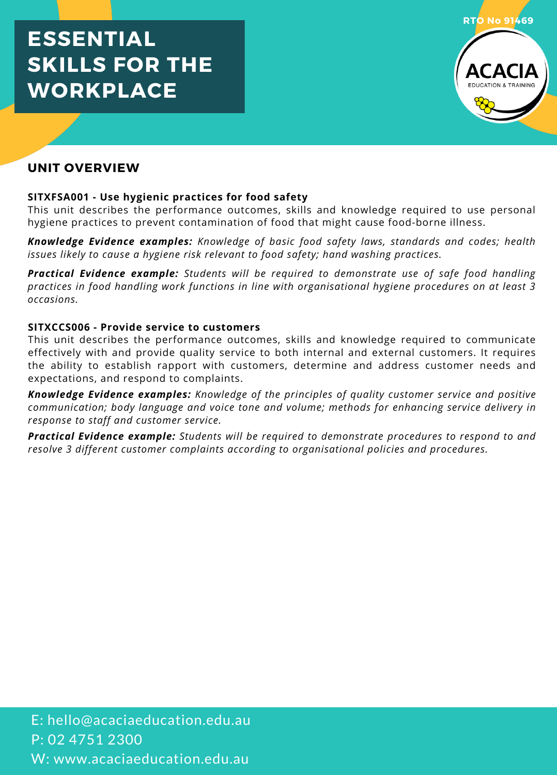# **ESSENTIAL SKILLS FOR THE WORKPLACE**



## **UNIT OVERVIEW**

#### **SITXFSA001 - Use hygienic practices for food safety**

This unit describes the performance outcomes, skills and knowledge required to use personal hygiene practices to prevent contamination of food that might cause food-borne illness.

*Knowledge Evidence examples: Knowledge of basic food safety laws, standards and codes; health issues likely to cause a hygiene risk relevant to food safety; hand washing practices.*

*Practical Evidence example: Students will be required to demonstrate use of safe food handling practices in food handling work functions in line with organisational hygiene procedures on at least 3 occasions.*

#### **SITXCCS006 - Provide service to customers**

This unit describes the performance outcomes, skills and knowledge required to communicate effectively with and provide quality service to both internal and external customers. It requires the ability to establish rapport with customers, determine and address customer needs and expectations, and respond to complaints.

*Knowledge Evidence examples: Knowledge of the principles of quality customer service and positive communication; body language and voice tone and volume; methods for enhancing service delivery in response to staff and customer service.*

*Practical Evidence example: Students will be required to demonstrate procedures to respond to and resolve 3 different customer complaints according to organisational policies and procedures.*